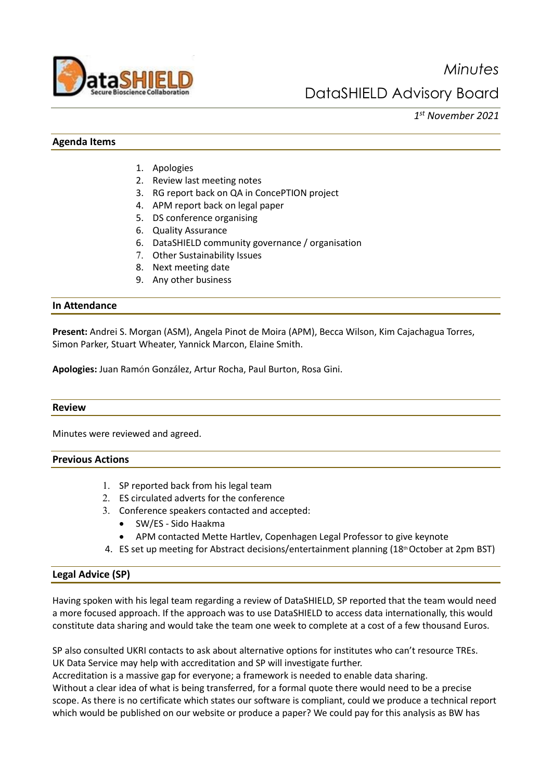

*Minutes* DataSHIELD Advisory Board

*1st November 2021* 

## **Agenda Items**

- 1. Apologies
- 2. Review last meeting notes
- 3. RG report back on QA in ConcePTION project
- 4. APM report back on legal paper
- 5. DS conference organising
- 6. Quality Assurance
- 6. DataSHIELD community governance / organisation
- 7. Other Sustainability Issues
- 8. Next meeting date
- 9. Any other business

### **In Attendance**

**Present:** Andrei S. Morgan (ASM), Angela Pinot de Moira (APM), Becca Wilson, Kim Cajachagua Torres, Simon Parker, Stuart Wheater, Yannick Marcon, Elaine Smith.

**Apologies:** Juan Ramón González, Artur Rocha, Paul Burton, Rosa Gini.

#### **Review**

Minutes were reviewed and agreed.

### **Previous Actions**

- 1. SP reported back from his legal team
- 2. ES circulated adverts for the conference
- 3. Conference speakers contacted and accepted:
	- SW/ES Sido Haakma
	- APM contacted Mette Hartlev, Copenhagen Legal Professor to give keynote
- 4. ES set up meeting for Abstract decisions/entertainment planning (18<sup>th</sup> October at 2pm BST)

#### **Legal Advice (SP)**

Having spoken with his legal team regarding a review of DataSHIELD, SP reported that the team would need a more focused approach. If the approach was to use DataSHIELD to access data internationally, this would constitute data sharing and would take the team one week to complete at a cost of a few thousand Euros.

SP also consulted UKRI contacts to ask about alternative options for institutes who can't resource TREs. UK Data Service may help with accreditation and SP will investigate further.

Accreditation is a massive gap for everyone; a framework is needed to enable data sharing.

Without a clear idea of what is being transferred, for a formal quote there would need to be a precise scope. As there is no certificate which states our software is compliant, could we produce a technical report which would be published on our website or produce a paper? We could pay for this analysis as BW has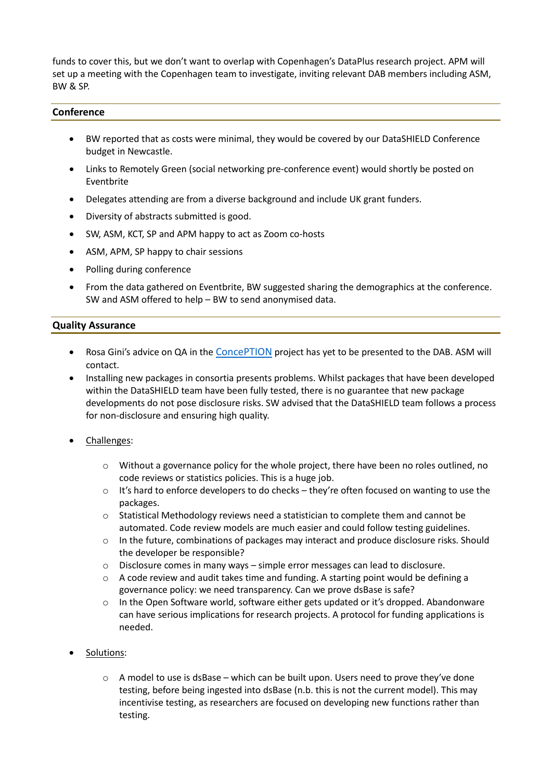funds to cover this, but we don't want to overlap with Copenhagen's DataPlus research project. APM will set up a meeting with the Copenhagen team to investigate, inviting relevant DAB members including ASM, BW & SP.

## **Conference**

- BW reported that as costs were minimal, they would be covered by our DataSHIELD Conference budget in Newcastle.
- Links to Remotely Green (social networking pre-conference event) would shortly be posted on Eventbrite
- Delegates attending are from a diverse background and include UK grant funders.
- Diversity of abstracts submitted is good.
- SW, ASM, KCT, SP and APM happy to act as Zoom co-hosts
- ASM, APM, SP happy to chair sessions
- Polling during conference
- From the data gathered on Eventbrite, BW suggested sharing the demographics at the conference. SW and ASM offered to help – BW to send anonymised data.

## **Quality Assurance**

- Rosa Gini's advice on QA in th[e ConcePTION](https://www.imi.europa.eu/projects-results/project-factsheets/conception) project has yet to be presented to the DAB. ASM will contact.
- Installing new packages in consortia presents problems. Whilst packages that have been developed within the DataSHIELD team have been fully tested, there is no guarantee that new package developments do not pose disclosure risks. SW advised that the DataSHIELD team follows a process for non-disclosure and ensuring high quality.
- Challenges:
	- o Without a governance policy for the whole project, there have been no roles outlined, no code reviews or statistics policies. This is a huge job.
	- o It's hard to enforce developers to do checks they're often focused on wanting to use the packages.
	- o Statistical Methodology reviews need a statistician to complete them and cannot be automated. Code review models are much easier and could follow testing guidelines.
	- o In the future, combinations of packages may interact and produce disclosure risks. Should the developer be responsible?
	- o Disclosure comes in many ways simple error messages can lead to disclosure.
	- $\circ$  A code review and audit takes time and funding. A starting point would be defining a governance policy: we need transparency. Can we prove dsBase is safe?
	- o In the Open Software world, software either gets updated or it's dropped. Abandonware can have serious implications for research projects. A protocol for funding applications is needed.
- Solutions:
	- $\circ$  A model to use is dsBase which can be built upon. Users need to prove they've done testing, before being ingested into dsBase (n.b. this is not the current model). This may incentivise testing, as researchers are focused on developing new functions rather than testing.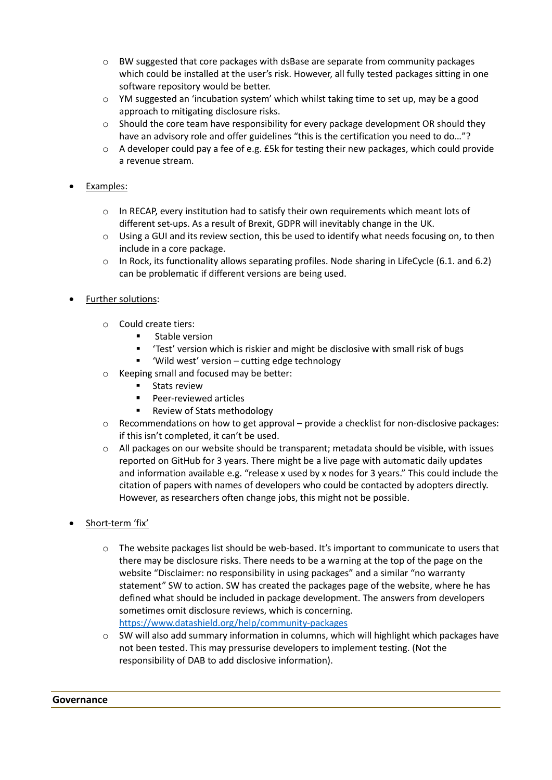- o BW suggested that core packages with dsBase are separate from community packages which could be installed at the user's risk. However, all fully tested packages sitting in one software repository would be better.
- $\circ$  YM suggested an 'incubation system' which whilst taking time to set up, may be a good approach to mitigating disclosure risks.
- o Should the core team have responsibility for every package development OR should they have an advisory role and offer guidelines "this is the certification you need to do..."?
- o A developer could pay a fee of e.g. £5k for testing their new packages, which could provide a revenue stream.

## • Examples:

- o In RECAP, every institution had to satisfy their own requirements which meant lots of different set-ups. As a result of Brexit, GDPR will inevitably change in the UK.
- $\circ$  Using a GUI and its review section, this be used to identify what needs focusing on, to then include in a core package.
- o In Rock, its functionality allows separating profiles. Node sharing in LifeCycle (6.1. and 6.2) can be problematic if different versions are being used.

# • Further solutions:

- o Could create tiers:
	- **E** Stable version
	- 'Test' version which is riskier and might be disclosive with small risk of bugs
	- 'Wild west' version cutting edge technology
- o Keeping small and focused may be better:
	- Stats review
	- **Peer-reviewed articles**
	- Review of Stats methodology
- $\circ$  Recommendations on how to get approval provide a checklist for non-disclosive packages: if this isn't completed, it can't be used.
- $\circ$  All packages on our website should be transparent; metadata should be visible, with issues reported on GitHub for 3 years. There might be a live page with automatic daily updates and information available e.g. "release x used by x nodes for 3 years." This could include the citation of papers with names of developers who could be contacted by adopters directly. However, as researchers often change jobs, this might not be possible.
- Short-term 'fix'
	- o The website packages list should be web-based. It's important to communicate to users that there may be disclosure risks. There needs to be a warning at the top of the page on the website "Disclaimer: no responsibility in using packages" and a similar "no warranty statement" SW to action. SW has created the packages page of the website, where he has defined what should be included in package development. The answers from developers sometimes omit disclosure reviews, which is concerning. <https://www.datashield.org/help/community-packages>
	- $\circ$  SW will also add summary information in columns, which will highlight which packages have not been tested. This may pressurise developers to implement testing. (Not the responsibility of DAB to add disclosive information).

#### **Governance**